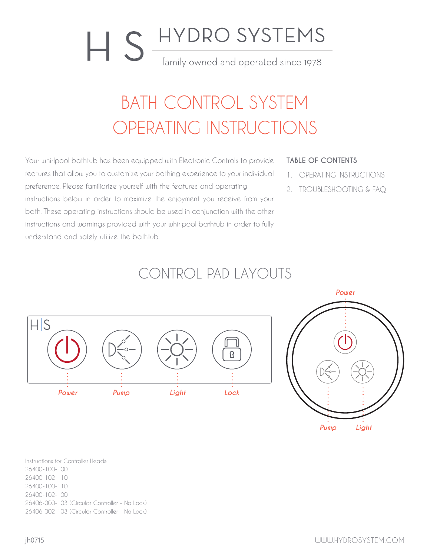# **ILS** HYDRO SYSTEMS family owned and operated since 1978

### BATH CONTROL SYSTEM OPERATING INSTRUCTIONS

Your whirlpool bathtub has been equipped with Electronic Controls to provide features that allow you to customize your bathing experience to your individual preference. Please familiarize yourself with the features and operating instructions below in order to maximize the enjoyment you receive from your bath. These operating instructions should be used in conjunction with the other instructions and warnings provided with your whirlpool bathtub in order to fully understand and safely utilize the bathtub.

#### **TABLE OF CONTENTS**

- 1. OPERATING INSTRUCTIONS
- 2. TROUBLESHOOTING & FAQ

### CONTROL PAD LAYOUTS





Instructions for Controller Heads: 26400-100-100 26400-102-110 26400-100-110 26400-102-100 26406-000-103 (Circular Controller – No Lock) 26406-002-103 (Circular Controller – No Lock)